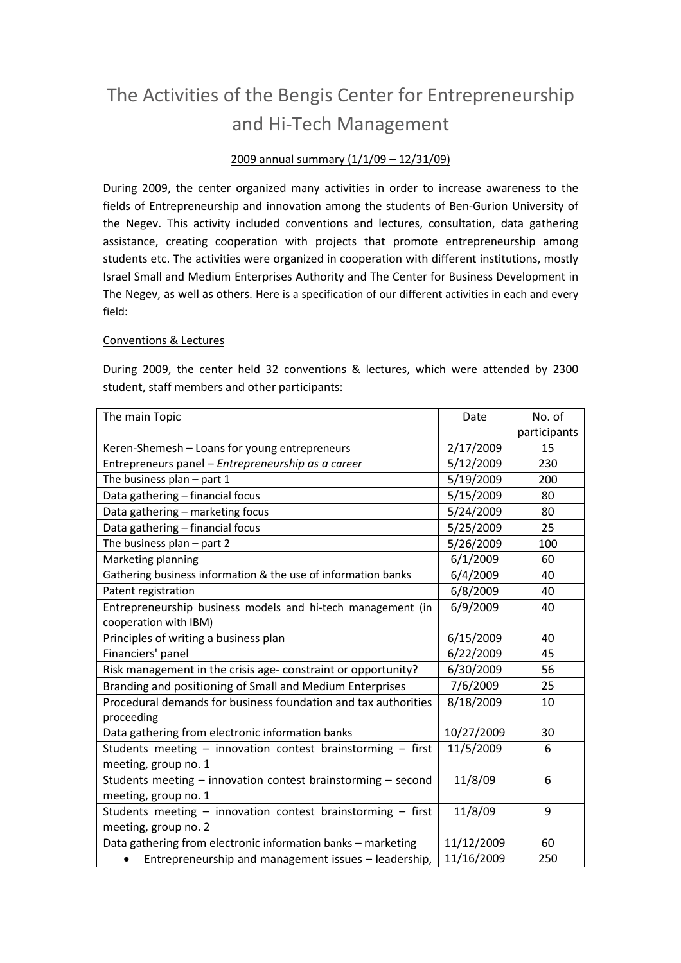# The Activities of the Bengis Center for Entrepreneurship and Hi-Tech Management

# 2009 annual summary (1/1/09 – 12/31/09)

During 2009, the center organized many activities in order to increase awareness to the fields of Entrepreneurship and innovation among the students of Ben-Gurion University of the Negev. This activity included conventions and lectures, consultation, data gathering assistance, creating cooperation with projects that promote entrepreneurship among students etc. The activities were organized in cooperation with different institutions, mostly Israel Small and Medium Enterprises Authority and The Center for Business Development in The Negev, as well as others. Here is a specification of our different activities in each and every field:

#### Conventions & Lectures

During 2009, the center held 32 conventions & lectures, which were attended by 2300 student, staff members and other participants:

| The main Topic                                                    | Date       | No. of       |
|-------------------------------------------------------------------|------------|--------------|
|                                                                   |            | participants |
| Keren-Shemesh - Loans for young entrepreneurs                     | 2/17/2009  | 15           |
| Entrepreneurs panel - Entrepreneurship as a career                | 5/12/2009  | 230          |
| The business plan - part 1                                        | 5/19/2009  | 200          |
| Data gathering - financial focus                                  | 5/15/2009  | 80           |
| Data gathering - marketing focus                                  | 5/24/2009  | 80           |
| Data gathering - financial focus                                  | 5/25/2009  | 25           |
| The business plan - part 2                                        | 5/26/2009  | 100          |
| Marketing planning                                                | 6/1/2009   | 60           |
| Gathering business information & the use of information banks     | 6/4/2009   | 40           |
| Patent registration                                               | 6/8/2009   | 40           |
| Entrepreneurship business models and hi-tech management (in       | 6/9/2009   | 40           |
| cooperation with IBM)                                             |            |              |
| Principles of writing a business plan                             | 6/15/2009  | 40           |
| Financiers' panel                                                 | 6/22/2009  | 45           |
| Risk management in the crisis age- constraint or opportunity?     | 6/30/2009  | 56           |
| Branding and positioning of Small and Medium Enterprises          | 7/6/2009   | 25           |
| Procedural demands for business foundation and tax authorities    | 8/18/2009  | 10           |
| proceeding                                                        |            |              |
| Data gathering from electronic information banks                  | 10/27/2009 | 30           |
| Students meeting - innovation contest brainstorming - first       | 11/5/2009  | 6            |
| meeting, group no. 1                                              |            |              |
| Students meeting - innovation contest brainstorming - second      | 11/8/09    | 6            |
| meeting, group no. 1                                              |            |              |
| Students meeting - innovation contest brainstorming - first       | 11/8/09    | 9            |
| meeting, group no. 2                                              |            |              |
| Data gathering from electronic information banks - marketing      | 11/12/2009 | 60           |
| Entrepreneurship and management issues - leadership,<br>$\bullet$ | 11/16/2009 | 250          |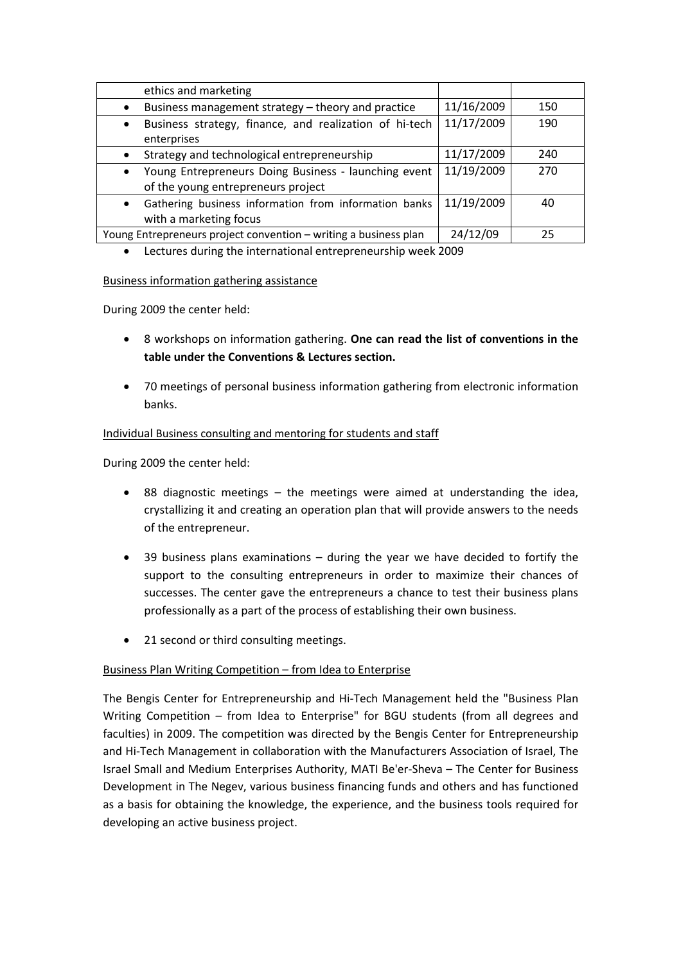| ethics and marketing                                                                                    |            |     |
|---------------------------------------------------------------------------------------------------------|------------|-----|
| Business management strategy - theory and practice<br>$\bullet$                                         | 11/16/2009 | 150 |
| Business strategy, finance, and realization of hi-tech<br>$\bullet$<br>enterprises                      | 11/17/2009 | 190 |
| Strategy and technological entrepreneurship<br>$\bullet$                                                | 11/17/2009 | 240 |
| Young Entrepreneurs Doing Business - launching event<br>$\bullet$<br>of the young entrepreneurs project | 11/19/2009 | 270 |
| Gathering business information from information banks<br>$\bullet$<br>with a marketing focus            | 11/19/2009 | 40  |
| Young Entrepreneurs project convention - writing a business plan                                        | 24/12/09   | 25  |

• Lectures during the international entrepreneurship week 2009

#### Business information gathering assistance

During 2009 the center held:

- 8 workshops on information gathering. **One can read the list of conventions in the table under the Conventions & Lectures section.**
- 70 meetings of personal business information gathering from electronic information banks.

# Individual Business consulting and mentoring for students and staff

During 2009 the center held:

- 88 diagnostic meetings the meetings were aimed at understanding the idea, crystallizing it and creating an operation plan that will provide answers to the needs of the entrepreneur.
- 39 business plans examinations during the year we have decided to fortify the support to the consulting entrepreneurs in order to maximize their chances of successes. The center gave the entrepreneurs a chance to test their business plans professionally as a part of the process of establishing their own business.
- 21 second or third consulting meetings.

# Business Plan Writing Competition – from Idea to Enterprise

The Bengis Center for Entrepreneurship and Hi-Tech Management held the "Business Plan Writing Competition – from Idea to Enterprise" for BGU students (from all degrees and faculties) in 2009. The competition was directed by the Bengis Center for Entrepreneurship and Hi-Tech Management in collaboration with the Manufacturers Association of Israel, The Israel Small and Medium Enterprises Authority, MATI Be'er-Sheva – The Center for Business Development in The Negev, various business financing funds and others and has functioned as a basis for obtaining the knowledge, the experience, and the business tools required for developing an active business project.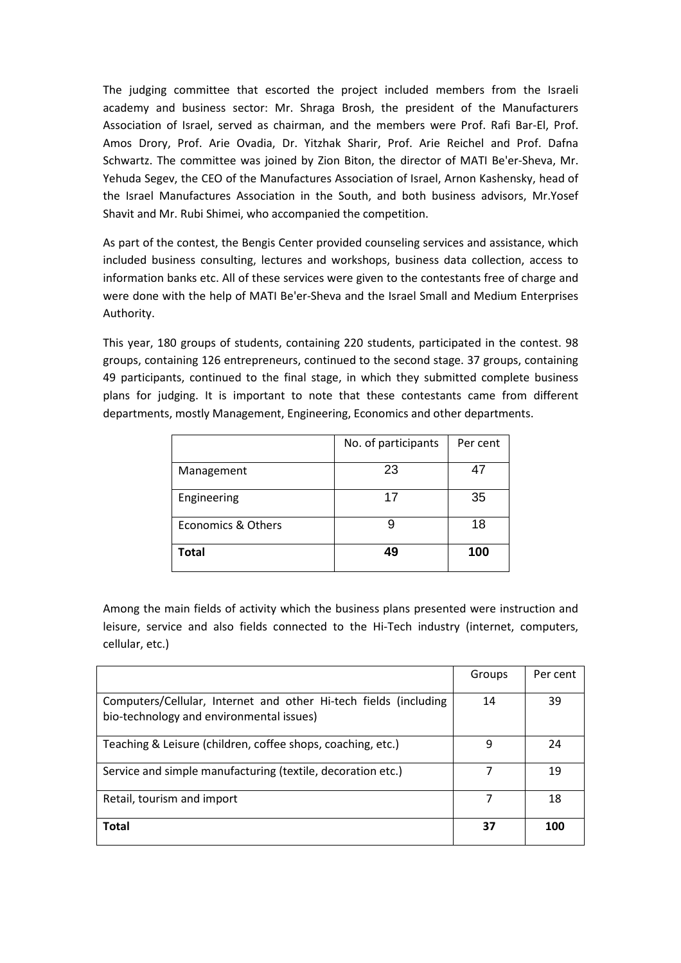The judging committee that escorted the project included members from the Israeli academy and business sector: Mr. Shraga Brosh, the president of the Manufacturers Association of Israel, served as chairman, and the members were Prof. Rafi Bar-El, Prof. Amos Drory, Prof. Arie Ovadia, Dr. Yitzhak Sharir, Prof. Arie Reichel and Prof. Dafna Schwartz. The committee was joined by Zion Biton, the director of MATI Be'er-Sheva, Mr. Yehuda Segev, the CEO of the Manufactures Association of Israel, Arnon Kashensky, head of the Israel Manufactures Association in the South, and both business advisors, Mr.Yosef Shavit and Mr. Rubi Shimei, who accompanied the competition.

As part of the contest, the Bengis Center provided counseling services and assistance, which included business consulting, lectures and workshops, business data collection, access to information banks etc. All of these services were given to the contestants free of charge and were done with the help of MATI Be'er-Sheva and the Israel Small and Medium Enterprises Authority.

This year, 180 groups of students, containing 220 students, participated in the contest. 98 groups, containing 126 entrepreneurs, continued to the second stage. 37 groups, containing 49 participants, continued to the final stage, in which they submitted complete business plans for judging. It is important to note that these contestants came from different departments, mostly Management, Engineering, Economics and other departments.

|                    | No. of participants | Per cent |
|--------------------|---------------------|----------|
| Management         | 23                  | 47       |
| Engineering        | 17                  | 35       |
| Economics & Others |                     | 18       |
| <b>Total</b>       | 49                  | 100      |

Among the main fields of activity which the business plans presented were instruction and leisure, service and also fields connected to the Hi-Tech industry (internet, computers, cellular, etc.)

|                                                                                                              | Groups | Per cent |
|--------------------------------------------------------------------------------------------------------------|--------|----------|
| Computers/Cellular, Internet and other Hi-tech fields (including<br>bio-technology and environmental issues) | 14     | 39       |
| Teaching & Leisure (children, coffee shops, coaching, etc.)                                                  | 9      | 24       |
| Service and simple manufacturing (textile, decoration etc.)                                                  |        | 19       |
| Retail, tourism and import                                                                                   | 7      | 18       |
| <b>Total</b>                                                                                                 | 37     | 100      |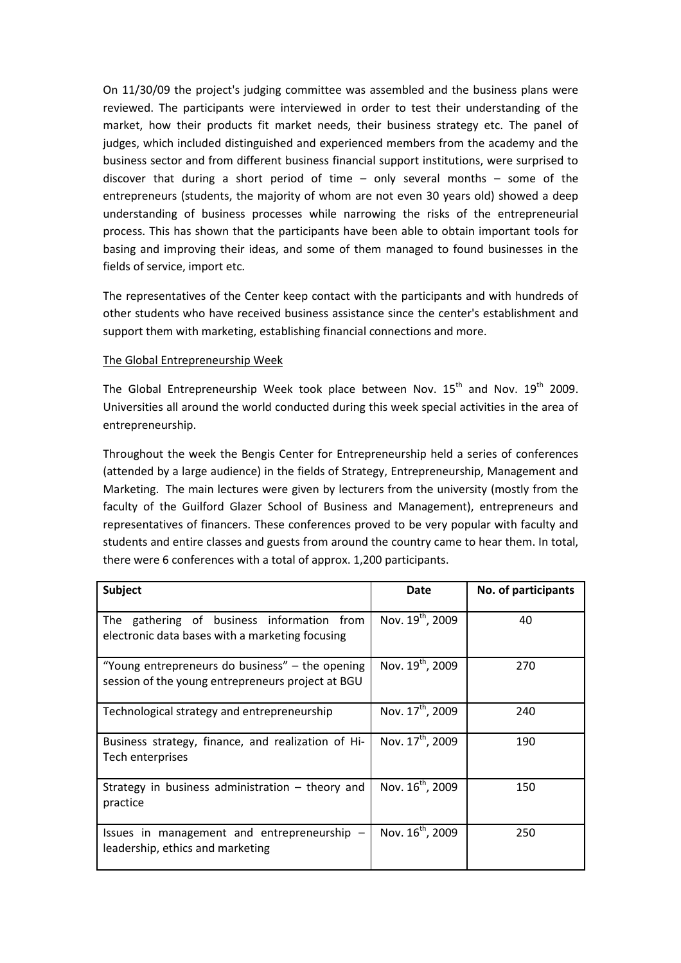On 11/30/09 the project's judging committee was assembled and the business plans were reviewed. The participants were interviewed in order to test their understanding of the market, how their products fit market needs, their business strategy etc. The panel of judges, which included distinguished and experienced members from the academy and the business sector and from different business financial support institutions, were surprised to discover that during a short period of time – only several months – some of the entrepreneurs (students, the majority of whom are not even 30 years old) showed a deep understanding of business processes while narrowing the risks of the entrepreneurial process. This has shown that the participants have been able to obtain important tools for basing and improving their ideas, and some of them managed to found businesses in the fields of service, import etc.

The representatives of the Center keep contact with the participants and with hundreds of other students who have received business assistance since the center's establishment and support them with marketing, establishing financial connections and more.

#### The Global Entrepreneurship Week

The Global Entrepreneurship Week took place between Nov.  $15<sup>th</sup>$  and Nov.  $19<sup>th</sup>$  2009. Universities all around the world conducted during this week special activities in the area of entrepreneurship.

Throughout the week the Bengis Center for Entrepreneurship held a series of conferences (attended by a large audience) in the fields of Strategy, Entrepreneurship, Management and Marketing. The main lectures were given by lecturers from the university (mostly from the faculty of the Guilford Glazer School of Business and Management), entrepreneurs and representatives of financers. These conferences proved to be very popular with faculty and students and entire classes and guests from around the country came to hear them. In total, there were 6 conferences with a total of approx. 1,200 participants.

| Subject                                                                                              | Date                         | No. of participants |
|------------------------------------------------------------------------------------------------------|------------------------------|---------------------|
| gathering of business information from<br>The<br>electronic data bases with a marketing focusing     | Nov. 19 <sup>th</sup> , 2009 | 40                  |
| "Young entrepreneurs do business" – the opening<br>session of the young entrepreneurs project at BGU | Nov. 19 <sup>th</sup> , 2009 | 270                 |
| Technological strategy and entrepreneurship                                                          | Nov. 17 <sup>th</sup> , 2009 | 240                 |
| Business strategy, finance, and realization of Hi-<br>Tech enterprises                               | Nov. 17 <sup>th</sup> , 2009 | 190                 |
| Strategy in business administration $-$ theory and<br>practice                                       | Nov. 16 <sup>th</sup> , 2009 | 150                 |
| Issues in management and entrepreneurship $-$<br>leadership, ethics and marketing                    | Nov. 16 <sup>th</sup> , 2009 | 250                 |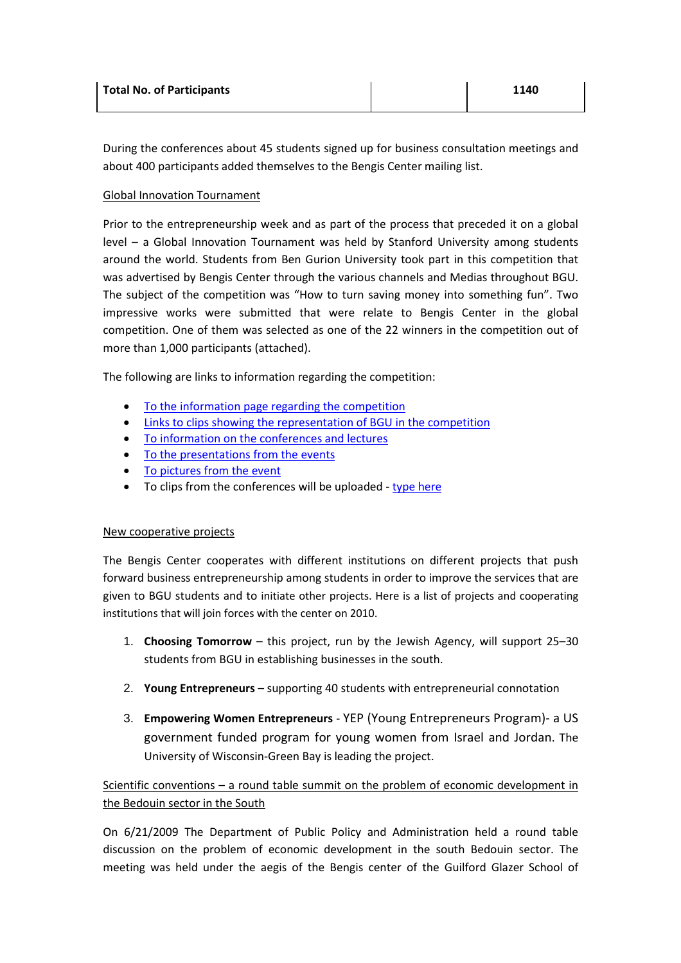| <b>Total No. of Participants</b> | 1140 |
|----------------------------------|------|
|                                  |      |

During the conferences about 45 students signed up for business consultation meetings and about 400 participants added themselves to the Bengis Center mailing list.

#### Global Innovation Tournament

Prior to the entrepreneurship week and as part of the process that preceded it on a global level – a Global Innovation Tournament was held by Stanford University among students around the world. Students from Ben Gurion University took part in this competition that was advertised by Bengis Center through the various channels and Medias throughout BGU. The subject of the competition was "How to turn saving money into something fun". Two impressive works were submitted that were relate to Bengis Center in the global competition. One of them was selected as one of the 22 winners in the competition out of more than 1,000 participants (attached).

The following are links to information regarding the competition:

- To the information page regarding the competition
- Links to clips showing the representation of BGU in the competition
- To information on the conferences and lectures
- To the presentations from the events
- To pictures from the event
- To clips from the conferences will be uploaded type here

# New cooperative projects

The Bengis Center cooperates with different institutions on different projects that push forward business entrepreneurship among students in order to improve the services that are given to BGU students and to initiate other projects. Here is a list of projects and cooperating institutions that will join forces with the center on 2010.

- 1. **Choosing Tomorrow** this project, run by the Jewish Agency, will support 25–30 students from BGU in establishing businesses in the south.
- 2. **Young Entrepreneurs** supporting 40 students with entrepreneurial connotation
- 3. **Empowering Women Entrepreneurs** YEP (Young Entrepreneurs Program)- a US government funded program for young women from Israel and Jordan. The University of Wisconsin-Green Bay is leading the project.

Scientific conventions – a round table summit on the problem of economic development in the Bedouin sector in the South

On 6/21/2009 The Department of Public Policy and Administration held a round table discussion on the problem of economic development in the south Bedouin sector. The meeting was held under the aegis of the Bengis center of the Guilford Glazer School of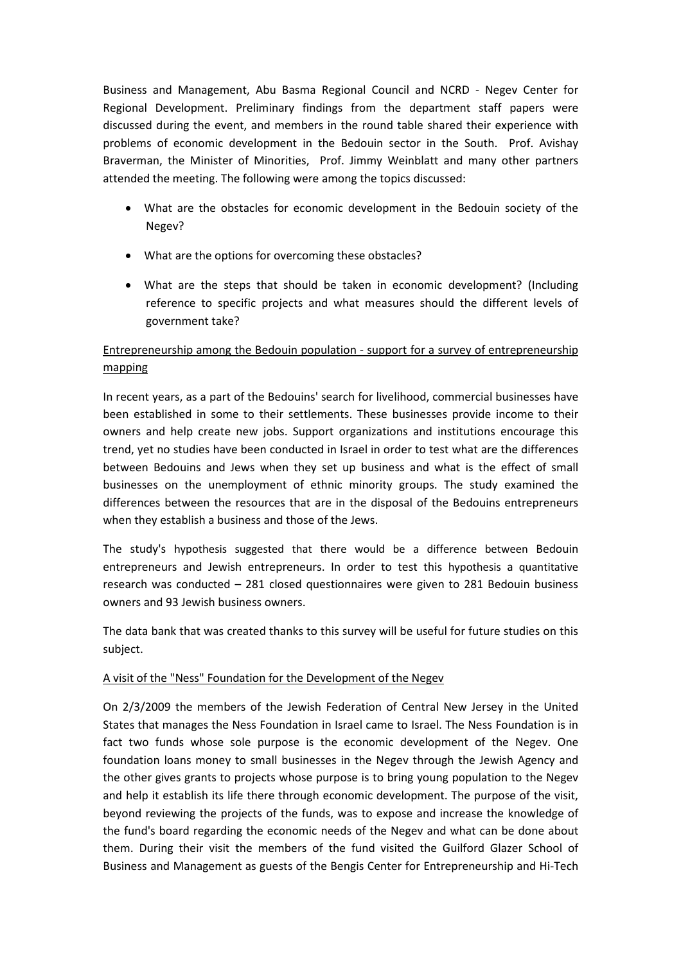Business and Management, Abu Basma Regional Council and NCRD - Negev Center for Regional Development. Preliminary findings from the department staff papers were discussed during the event, and members in the round table shared their experience with problems of economic development in the Bedouin sector in the South. Prof. Avishay Braverman, the Minister of Minorities, Prof. Jimmy Weinblatt and many other partners attended the meeting. The following were among the topics discussed:

- What are the obstacles for economic development in the Bedouin society of the Negev?
- What are the options for overcoming these obstacles?
- What are the steps that should be taken in economic development? (Including reference to specific projects and what measures should the different levels of government take?

# Entrepreneurship among the Bedouin population - support for a survey of entrepreneurship mapping

In recent years, as a part of the Bedouins' search for livelihood, commercial businesses have been established in some to their settlements. These businesses provide income to their owners and help create new jobs. Support organizations and institutions encourage this trend, yet no studies have been conducted in Israel in order to test what are the differences between Bedouins and Jews when they set up business and what is the effect of small businesses on the unemployment of ethnic minority groups. The study examined the differences between the resources that are in the disposal of the Bedouins entrepreneurs when they establish a business and those of the Jews.

The study's hypothesis suggested that there would be a difference between Bedouin entrepreneurs and Jewish entrepreneurs. In order to test this hypothesis a quantitative research was conducted – 281 closed questionnaires were given to 281 Bedouin business owners and 93 Jewish business owners.

The data bank that was created thanks to this survey will be useful for future studies on this subject.

# A visit of the "Ness" Foundation for the Development of the Negev

On 2/3/2009 the members of the Jewish Federation of Central New Jersey in the United States that manages the Ness Foundation in Israel came to Israel. The Ness Foundation is in fact two funds whose sole purpose is the economic development of the Negev. One foundation loans money to small businesses in the Negev through the Jewish Agency and the other gives grants to projects whose purpose is to bring young population to the Negev and help it establish its life there through economic development. The purpose of the visit, beyond reviewing the projects of the funds, was to expose and increase the knowledge of the fund's board regarding the economic needs of the Negev and what can be done about them. During their visit the members of the fund visited the Guilford Glazer School of Business and Management as guests of the Bengis Center for Entrepreneurship and Hi-Tech